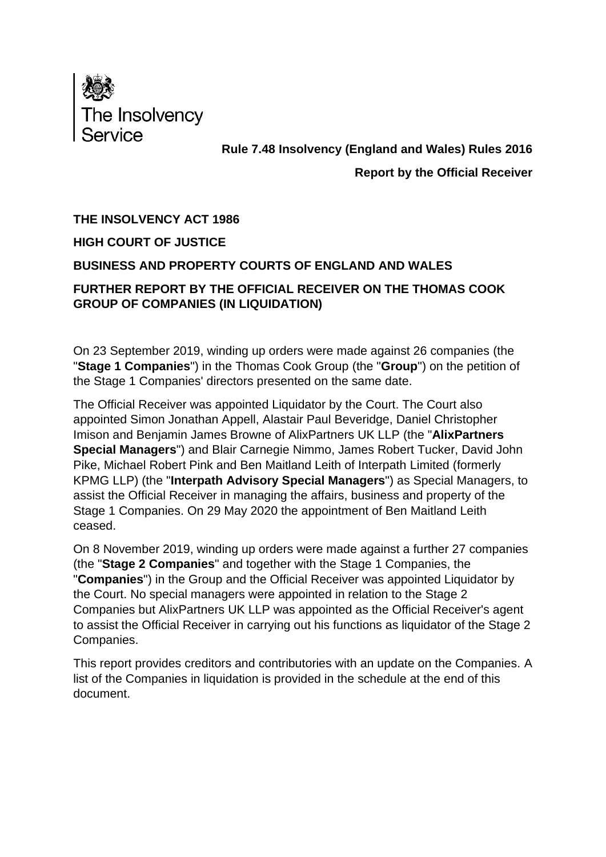

## **Rule 7.48 Insolvency (England and Wales) Rules 2016**

## **Report by the Official Receiver**

#### **THE INSOLVENCY ACT 1986**

#### **HIGH COURT OF JUSTICE**

#### **BUSINESS AND PROPERTY COURTS OF ENGLAND AND WALES**

## **FURTHER REPORT BY THE OFFICIAL RECEIVER ON THE THOMAS COOK GROUP OF COMPANIES (IN LIQUIDATION)**

On 23 September 2019, winding up orders were made against 26 companies (the "**Stage 1 Companies**") in the Thomas Cook Group (the "**Group**") on the petition of the Stage 1 Companies' directors presented on the same date.

The Official Receiver was appointed Liquidator by the Court. The Court also appointed Simon Jonathan Appell, Alastair Paul Beveridge, Daniel Christopher Imison and Benjamin James Browne of AlixPartners UK LLP (the "**AlixPartners Special Managers**") and Blair Carnegie Nimmo, James Robert Tucker, David John Pike, Michael Robert Pink and Ben Maitland Leith of Interpath Limited (formerly KPMG LLP) (the "**Interpath Advisory Special Managers**") as Special Managers, to assist the Official Receiver in managing the affairs, business and property of the Stage 1 Companies. On 29 May 2020 the appointment of Ben Maitland Leith ceased.

On 8 November 2019, winding up orders were made against a further 27 companies (the "**Stage 2 Companies**" and together with the Stage 1 Companies, the "**Companies**") in the Group and the Official Receiver was appointed Liquidator by the Court. No special managers were appointed in relation to the Stage 2 Companies but AlixPartners UK LLP was appointed as the Official Receiver's agent to assist the Official Receiver in carrying out his functions as liquidator of the Stage 2 Companies.

This report provides creditors and contributories with an update on the Companies. A list of the Companies in liquidation is provided in the schedule at the end of this document.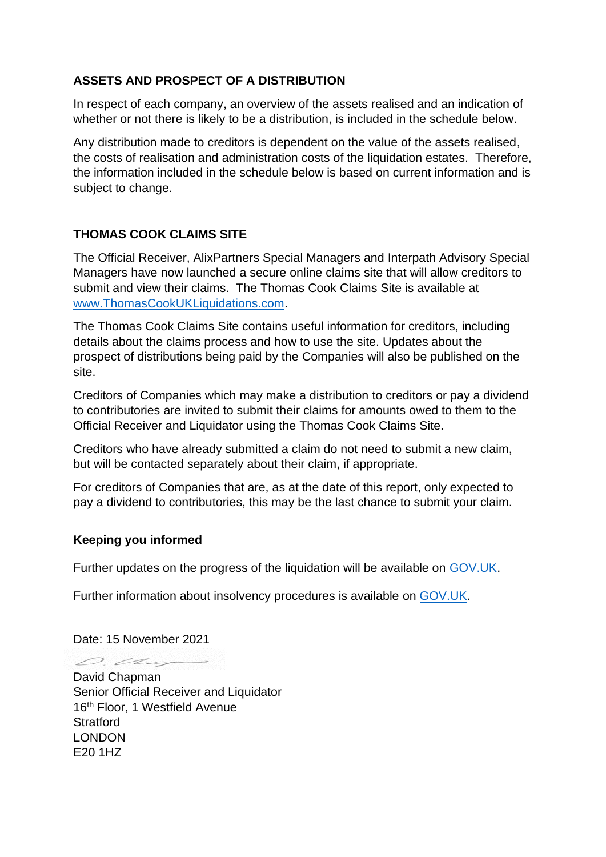## **ASSETS AND PROSPECT OF A DISTRIBUTION**

In respect of each company, an overview of the assets realised and an indication of whether or not there is likely to be a distribution, is included in the schedule below.

Any distribution made to creditors is dependent on the value of the assets realised, the costs of realisation and administration costs of the liquidation estates. Therefore, the information included in the schedule below is based on current information and is subject to change.

#### **THOMAS COOK CLAIMS SITE**

The Official Receiver, AlixPartners Special Managers and Interpath Advisory Special Managers have now launched a secure online claims site that will allow creditors to submit and view their claims. The Thomas Cook Claims Site is available at [www.ThomasCookUKLiquidations.com.](http://www.thomascookukliquidations.com/)

The Thomas Cook Claims Site contains useful information for creditors, including details about the claims process and how to use the site. Updates about the prospect of distributions being paid by the Companies will also be published on the site.

Creditors of Companies which may make a distribution to creditors or pay a dividend to contributories are invited to submit their claims for amounts owed to them to the Official Receiver and Liquidator using the Thomas Cook Claims Site.

Creditors who have already submitted a claim do not need to submit a new claim, but will be contacted separately about their claim, if appropriate.

For creditors of Companies that are, as at the date of this report, only expected to pay a dividend to contributories, this may be the last chance to submit your claim.

#### **Keeping you informed**

Further updates on the progress of the liquidation will be available on [GOV.UK.](https://www.gov.uk/government/news/thomas-cook-information-for-customers-employees-creditors-and-shareholders)

Further information about insolvency procedures is available on [GOV.UK.](https://www.gov.uk/government/publications/options-when-a-company-is-insolvent)

Date: 15 November 2021

O. Cher

David Chapman Senior Official Receiver and Liquidator 16<sup>th</sup> Floor, 1 Westfield Avenue **Stratford** LONDON E20 1HZ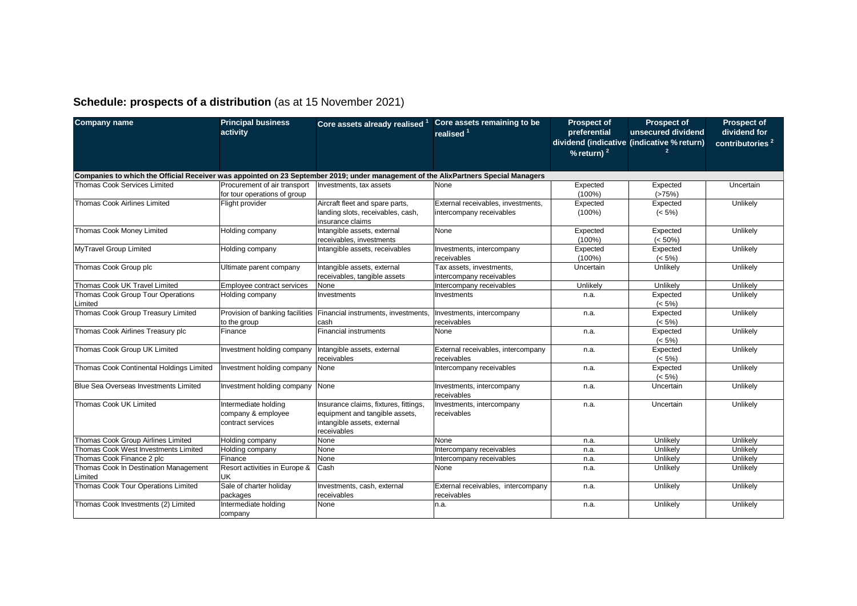# **Schedule: prospects of a distribution** (as at 15 November 2021)

| <b>Company name</b>                                                                                                                | <b>Principal business</b><br>activity                           | Core assets already realised                                                                                          | Core assets remaining to be<br>realised <sup>1</sup>           | <b>Prospect of</b><br>preferential | <b>Prospect of</b><br>unsecured dividend<br>dividend (indicative (indicative % return) | <b>Prospect of</b><br>dividend for<br>contributories <sup>2</sup> |  |  |  |
|------------------------------------------------------------------------------------------------------------------------------------|-----------------------------------------------------------------|-----------------------------------------------------------------------------------------------------------------------|----------------------------------------------------------------|------------------------------------|----------------------------------------------------------------------------------------|-------------------------------------------------------------------|--|--|--|
|                                                                                                                                    |                                                                 |                                                                                                                       |                                                                | % return) $2$                      |                                                                                        |                                                                   |  |  |  |
|                                                                                                                                    |                                                                 |                                                                                                                       |                                                                |                                    |                                                                                        |                                                                   |  |  |  |
| Companies to which the Official Receiver was appointed on 23 September 2019; under management of the AlixPartners Special Managers |                                                                 |                                                                                                                       |                                                                |                                    |                                                                                        |                                                                   |  |  |  |
| <b>Thomas Cook Services Limited</b>                                                                                                | Procurement of air transport                                    | Investments, tax assets                                                                                               | None                                                           | Expected                           | Expected                                                                               | Uncertain                                                         |  |  |  |
|                                                                                                                                    | for tour operations of group                                    |                                                                                                                       |                                                                | $(100\%)$                          | (>75%)                                                                                 |                                                                   |  |  |  |
| <b>Thomas Cook Airlines Limited</b>                                                                                                | Flight provider                                                 | Aircraft fleet and spare parts,<br>landing slots, receivables, cash,                                                  | External receivables, investments.<br>intercompany receivables | Expected<br>$(100\%)$              | Expected<br>$(< 5\%)$                                                                  | Unlikely                                                          |  |  |  |
|                                                                                                                                    |                                                                 | insurance claims                                                                                                      |                                                                |                                    |                                                                                        |                                                                   |  |  |  |
| Thomas Cook Money Limited                                                                                                          | Holding company                                                 | Intangible assets, external                                                                                           | None                                                           | Expected                           | Expected                                                                               | Unlikely                                                          |  |  |  |
| MyTravel Group Limited                                                                                                             | Holding company                                                 | receivables, investments<br>Intangible assets, receivables                                                            | Investments, intercompany                                      | $(100\%)$<br>Expected              | $(< 50\%)$<br>Expected                                                                 | Unlikely                                                          |  |  |  |
|                                                                                                                                    |                                                                 |                                                                                                                       | receivables                                                    | $(100\%)$                          | $(< 5\%)$                                                                              |                                                                   |  |  |  |
| Thomas Cook Group plc                                                                                                              | Ultimate parent company                                         | Intangible assets, external<br>receivables, tangible assets                                                           | Tax assets, investments,<br>intercompany receivables           | Uncertain                          | Unlikely                                                                               | Unlikely                                                          |  |  |  |
| Thomas Cook UK Travel Limited                                                                                                      | Employee contract services                                      | None                                                                                                                  | Intercompany receivables                                       | Unlikely                           | Unlikely                                                                               | Unlikely                                                          |  |  |  |
| Thomas Cook Group Tour Operations                                                                                                  | Holding company                                                 | Investments                                                                                                           | Investments                                                    | n.a.                               | Expected                                                                               | Unlikely                                                          |  |  |  |
| Limited                                                                                                                            |                                                                 |                                                                                                                       |                                                                |                                    | $(< 5\%)$                                                                              |                                                                   |  |  |  |
| Thomas Cook Group Treasury Limited                                                                                                 |                                                                 | Provision of banking facilities Financial instruments, investments,                                                   | Investments, intercompany                                      | n.a.                               | Expected                                                                               | Unlikely                                                          |  |  |  |
|                                                                                                                                    | to the group                                                    | cash                                                                                                                  | receivables                                                    |                                    | $(< 5\%)$                                                                              |                                                                   |  |  |  |
| Thomas Cook Airlines Treasury plc                                                                                                  | Finance                                                         | <b>Financial instruments</b>                                                                                          | None                                                           | n.a.                               | Expected                                                                               | Unlikely                                                          |  |  |  |
|                                                                                                                                    |                                                                 |                                                                                                                       |                                                                |                                    | $(< 5\%)$                                                                              |                                                                   |  |  |  |
| Thomas Cook Group UK Limited                                                                                                       | Investment holding company                                      | Intangible assets, external                                                                                           | External receivables, intercompany                             | n.a.                               | Expected                                                                               | Unlikely                                                          |  |  |  |
|                                                                                                                                    |                                                                 | receivables                                                                                                           | receivables                                                    |                                    | $(< 5\%)$                                                                              |                                                                   |  |  |  |
| Thomas Cook Continental Holdings Limited                                                                                           | Investment holding company                                      | <b>None</b>                                                                                                           | Intercompany receivables                                       | n.a.                               | Expected<br>$(< 5\%)$                                                                  | Unlikely                                                          |  |  |  |
| <b>Blue Sea Overseas Investments Limited</b>                                                                                       | Investment holding company                                      | None                                                                                                                  | Investments, intercompany<br>receivables                       | n.a.                               | Uncertain                                                                              | Unlikely                                                          |  |  |  |
| Thomas Cook UK Limited                                                                                                             | Intermediate holding<br>company & employee<br>contract services | Insurance claims, fixtures, fittings,<br>equipment and tangible assets,<br>intangible assets, external<br>receivables | Investments, intercompany<br>receivables                       | n.a.                               | Uncertain                                                                              | Unlikely                                                          |  |  |  |
| Thomas Cook Group Airlines Limited                                                                                                 | Holding company                                                 | None                                                                                                                  | None                                                           | n.a.                               | Unlikely                                                                               | Unlikely                                                          |  |  |  |
| Thomas Cook West Investments Limited                                                                                               | Holding company                                                 | None                                                                                                                  | Intercompany receivables                                       | n.a.                               | Unlikely                                                                               | Unlikely                                                          |  |  |  |
| Thomas Cook Finance 2 plc                                                                                                          | Finance                                                         | None                                                                                                                  | Intercompany receivables                                       | n.a.                               | Unlikely                                                                               | Unlikely                                                          |  |  |  |
| Thomas Cook In Destination Management<br>Limited                                                                                   | Resort activities in Europe &<br>UK                             | Cash                                                                                                                  | None                                                           | n.a.                               | Unlikely                                                                               | Unlikely                                                          |  |  |  |
| Thomas Cook Tour Operations Limited                                                                                                | Sale of charter holiday<br>packages                             | Investments, cash, external<br>receivables                                                                            | External receivables, intercompany<br>receivables              | n.a.                               | Unlikely                                                                               | Unlikely                                                          |  |  |  |
| Thomas Cook Investments (2) Limited                                                                                                | Intermediate holding<br>company                                 | None                                                                                                                  | n.a.                                                           | n.a.                               | Unlikely                                                                               | Unlikely                                                          |  |  |  |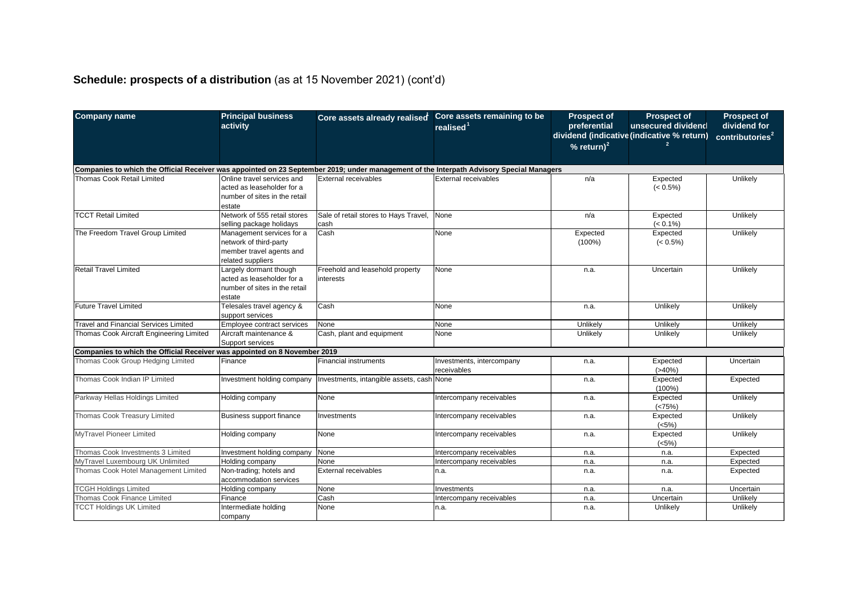# **Schedule: prospects of a distribution** (as at 15 November 2021) (cont'd)

| <b>Company name</b>                                                                                                                      | <b>Principal business</b><br>activity | Core assets already realised              | Core assets remaining to be | <b>Prospect of</b><br>preferential | <b>Prospect of</b><br>unsecured dividend   | <b>Prospect of</b><br>dividend for  |
|------------------------------------------------------------------------------------------------------------------------------------------|---------------------------------------|-------------------------------------------|-----------------------------|------------------------------------|--------------------------------------------|-------------------------------------|
|                                                                                                                                          |                                       |                                           | realised <sup>1</sup>       |                                    | dividend (indicative (indicative % return) |                                     |
|                                                                                                                                          |                                       |                                           |                             | $%$ return) <sup>2</sup>           |                                            | $\overline{\text{contributions}}^2$ |
|                                                                                                                                          |                                       |                                           |                             |                                    |                                            |                                     |
| Companies to which the Official Receiver was appointed on 23 September 2019; under management of the Interpath Advisory Special Managers |                                       |                                           |                             |                                    |                                            |                                     |
| Thomas Cook Retail Limited                                                                                                               | Online travel services and            | External receivables                      | External receivables        | n/a                                | Expected                                   | Unlikely                            |
|                                                                                                                                          | acted as leaseholder for a            |                                           |                             |                                    | $(< 0.5\%)$                                |                                     |
|                                                                                                                                          | number of sites in the retail         |                                           |                             |                                    |                                            |                                     |
|                                                                                                                                          | estate                                |                                           |                             |                                    |                                            |                                     |
| <b>TCCT Retail Limited</b>                                                                                                               | Network of 555 retail stores          | Sale of retail stores to Hays Travel,     | None                        | n/a                                | Expected                                   | Unlikely                            |
|                                                                                                                                          | selling package holidays              | cash                                      |                             |                                    | $(< 0.1\%)$                                |                                     |
| The Freedom Travel Group Limited                                                                                                         | Management services for a             | <b>Cash</b>                               | None                        | Expected                           | Expected                                   | Unlikely                            |
|                                                                                                                                          | network of third-party                |                                           |                             | $(100\%)$                          | $(< 0.5\%)$                                |                                     |
|                                                                                                                                          | member travel agents and              |                                           |                             |                                    |                                            |                                     |
|                                                                                                                                          | related suppliers                     |                                           |                             |                                    |                                            |                                     |
| <b>Retail Travel Limited</b>                                                                                                             | Largely dormant though                | Freehold and leasehold property           | None                        | n.a.                               | Uncertain                                  | Unlikely                            |
|                                                                                                                                          | acted as leaseholder for a            | interests                                 |                             |                                    |                                            |                                     |
|                                                                                                                                          | number of sites in the retail         |                                           |                             |                                    |                                            |                                     |
|                                                                                                                                          | estate                                |                                           |                             |                                    |                                            |                                     |
| Future Travel Limited                                                                                                                    | Telesales travel agency &             | Cash                                      | None                        | n.a.                               | Unlikely                                   | Unlikely                            |
|                                                                                                                                          | support services                      |                                           |                             |                                    |                                            |                                     |
| <b>Travel and Financial Services Limited</b>                                                                                             | Employee contract services            | None                                      | None                        | Unlikely                           | Unlikely                                   | Unlikely                            |
| Thomas Cook Aircraft Engineering Limited                                                                                                 | Aircraft maintenance &                | Cash, plant and equipment                 | None                        | Unlikely                           | Unlikelv                                   | Unlikely                            |
|                                                                                                                                          | Support services                      |                                           |                             |                                    |                                            |                                     |
| Companies to which the Official Receiver was appointed on 8 November 2019                                                                |                                       |                                           |                             |                                    |                                            |                                     |
| Thomas Cook Group Hedging Limited                                                                                                        | Finance                               | <b>Financial instruments</b>              | Investments, intercompany   | n.a.                               | Expected                                   | Uncertain                           |
|                                                                                                                                          |                                       |                                           | receivables                 |                                    | $(>40\%)$                                  |                                     |
| Thomas Cook Indian IP Limited                                                                                                            | Investment holding company            | Investments, intangible assets, cash None |                             | n.a.                               | Expected                                   | Expected                            |
|                                                                                                                                          |                                       |                                           |                             |                                    | $(100\%)$                                  |                                     |
| Parkway Hellas Holdings Limited                                                                                                          | Holding company                       | None                                      | Intercompany receivables    | n.a.                               | Expected                                   | Unlikely                            |
|                                                                                                                                          |                                       |                                           |                             |                                    | (<75%)                                     |                                     |
| Thomas Cook Treasury Limited                                                                                                             | Business support finance              | Investments                               | Intercompany receivables    | n.a.                               | Expected                                   | Unlikely                            |
|                                                                                                                                          |                                       |                                           |                             |                                    | (<5%)                                      |                                     |
| MyTravel Pioneer Limited                                                                                                                 | Holding company                       | None                                      | Intercompany receivables    | n.a.                               | Expected                                   | Unlikely                            |
|                                                                                                                                          |                                       |                                           |                             |                                    | (<5%)                                      |                                     |
| Thomas Cook Investments 3 Limited                                                                                                        | Investment holding company            | None                                      | Intercompany receivables    | n.a.                               | n.a.                                       | Expected                            |
| MyTravel Luxembourg UK Unlimited                                                                                                         | Holding company                       | None                                      | Intercompany receivables    | n.a.                               | n.a.                                       | Expected                            |
| Thomas Cook Hotel Management Limited                                                                                                     | Non-trading; hotels and               | External receivables                      | n.a.                        | n.a.                               | n.a.                                       | Expected                            |
|                                                                                                                                          | accommodation services                |                                           |                             |                                    |                                            |                                     |
| <b>TCGH Holdings Limited</b>                                                                                                             | Holding company                       | None                                      | Investments                 | n.a.                               | n.a.                                       | Uncertain                           |
| Thomas Cook Finance Limited                                                                                                              | Finance                               | Cash                                      | Intercompany receivables    | n.a.                               | Uncertain                                  | Unlikely                            |
| <b>TCCT Holdings UK Limited</b>                                                                                                          | Intermediate holding                  | None                                      | n.a.                        | n.a.                               | Unlikely                                   | Unlikely                            |
|                                                                                                                                          | company                               |                                           |                             |                                    |                                            |                                     |